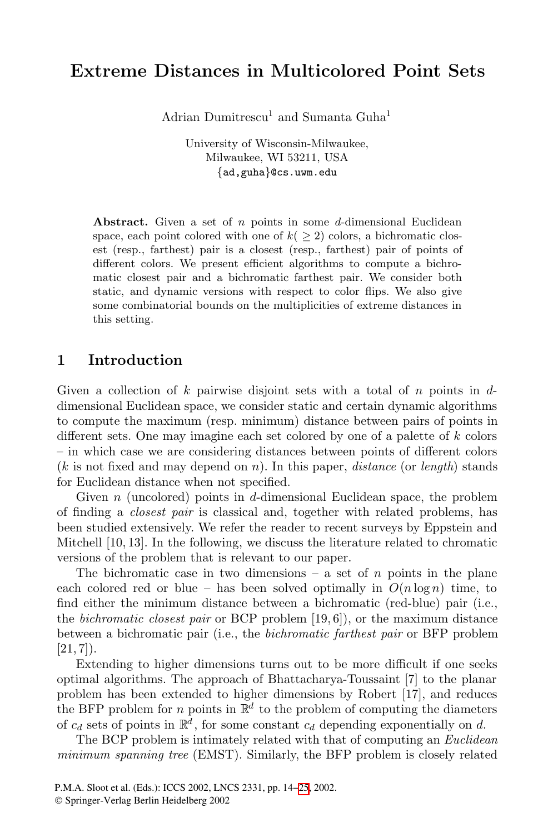# **Extreme Distances in Multicolored Point Sets**

Adrian Dumitrescu<sup>1</sup> and Sumanta Guha<sup>1</sup>

University of Wisconsin-Milwaukee, Milwaukee, WI 53211, USA {ad,guha}@cs.uwm.edu

**Abstract.** Given a set of *n* points in some *d*-dimensional Euclidean space, each point colored with one of  $k( \geq 2)$  colors, a bichromatic closest (resp., farthest) pair is a closest (resp., farthest) pair of points of different colors. We present efficient algorithms to compute a bichromatic closest pair and a bichromatic farthest pair. We consider both static, and dynamic versions with respect to color flips. We also give some combinatorial bounds on the multiplicities of extreme distances in this setting.

## **1 Introduction**

Given a collection of *k* pairwise disjoint sets with a total of *n* points in *d*dimensional Euclidean space, we consider static and certain dynamic algorithms to compute the maximum (resp. minimum) distance between pairs of points in different sets. One may imagine each set colored by one of a palette of *k* colors – in which case we are considering distances between points of different colors  $(k$  is not fixed and may depend on  $n$ ). In this paper, *distance* (or *length*) stands for Euclidean distance when not specified.

Given  $n$  (uncolored) points in  $d$ -dimensional Euclidean space, the problem of finding a *closest pair* is classical and, together with related problems, has been studied extensively. We refer the reader to recent surveys by Eppstein and Mitchell [10, 13]. In the following, we discuss the literature related to chromatic versions of the problem that is relevant to our paper.

The bichromatic case in two dimensions – a set of  $n$  points in the plane each colored red or blue – has been solved optimally in  $O(n \log n)$  time, to find either the minimum distance between a bichromatic (red-blue) pair (i.e., the *bichromatic closest pair* or BCP problem [19, 6]), or the maximum distance between a bichromatic [pa](#page-11-0)ir (i.e., the *bichromatic farthest pair* or BFP problem  $[21, 7]$ ).

Extending to higher dimensions turns out to be more difficult if one seeks optimal algorithms. The approach of Bhattacharya-Toussaint [7] to the planar problem has been extended to higher dimensions by Robert [17], and reduces the BFP problem for *n* points in  $\mathbb{R}^d$  to the problem of computing the diameters of  $c_d$  sets of points in  $\mathbb{R}^d$ , for some constant  $c_d$  depending exponentially on d.

The BCP problem is intimately related with that of computing an *Euclidean minimum spanning tree* (EMST). Similarly, the BFP problem is closely related

P.M.A. Sloot et al. (Eds.): ICCS 2002, LNCS 2331, pp. 14−25, 2002. Springer-Verlag Berlin Heidelberg 2002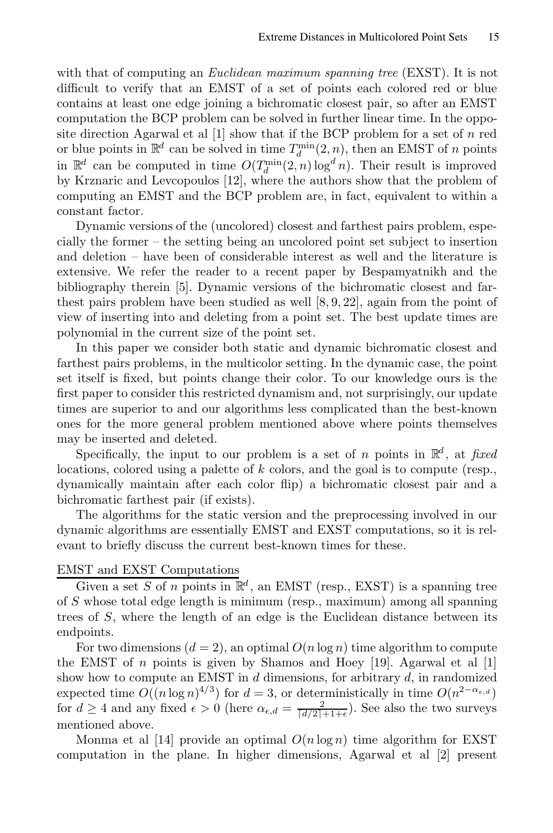with that of computing an *Euclidean maximum spanning tree* (EXST). It is not difficult to verify that an EMST of a set of points each colored red or blue contains at least one edge joining a bichromatic closest pair, so after an EMST computation the BCP problem can be solved in further linear time. In the opposite direction Agarwal et al [1] show that if the BCP problem for a set of *n* red or blue points in  $\mathbb{R}^d$  can be solved in time  $T_d^{\min}(2, n)$ , then an EMST of *n* points in  $\mathbb{R}^d$  can be computed in time  $O(T_d^{\min}(2,n)\log^d n)$ . Their result is improved by Krznaric and Levcopoulos [12], where the authors show that the problem of computing an EMST and the BCP problem are, in fact, equivalent to within a constant factor.

Dynamic versions of the (uncolored) closest and farthest pairs problem, especially the former – the setting being an uncolored point set subject to insertion and deletion – have been of considerable interest as well and the literature is extensive. We refer the reader to a recent paper by Bespamyatnikh and the bibliography therein [5]. Dynamic versions of the bichromatic closest and farthest pairs problem have been studied as well [8, 9, 22], again from the point of view of inserting into and deleting from a point set. The best update times are polynomial in the current size of the point set.

In this paper we consider both static and dynamic bichromatic closest and farthest pairs problems, in the multicolor setting. In the dynamic case, the point set itself is fixed, but points change their color. To our knowledge ours is the first paper to consider this restricted dynamism and, not surprisingly, our update times are superior to and our algorithms less complicated than the best-known ones for the more general problem mentioned above where points themselves may be inserted and deleted.

Specifically, the input to our problem is a set of *n* points in  $\mathbb{R}^d$ , at *fixed* locations, colored using a palette of *k* colors, and the goal is to compute (resp., dynamically maintain after each color flip) a bichromatic closest pair and a bichromatic farthest pair (if exists).

The algorithms for the static version and the preprocessing involved in our dynamic algorithms are essentially EMST and EXST computations, so it is relevant to briefly discuss the current best-known times for these.

### EMST and EXST Computations

Given a set *S* of *n* points in  $\mathbb{R}^d$ , an EMST (resp., EXST) is a spanning tree of *S* whose total edge length is minimum (resp., maximum) among all spanning trees of *S*, where the length of an edge is the Euclidean distance between its endpoints.

For two dimensions  $(d = 2)$ , an optimal  $O(n \log n)$  time algorithm to compute the EMST of  $n$  points is given by Shamos and Hoey [19]. Agarwal et al [1] show how to compute an EMST in *d* dimensions, for arbitrary *d*, in randomized expected time  $O((n \log n)^{4/3})$  for  $d = 3$ , or deterministically in time  $O(n^{2-\alpha_{\epsilon,d}})$ for  $d \ge 4$  and any fixed  $\epsilon > 0$  (here  $\alpha_{\epsilon,d} = \frac{2}{\lceil d/2 \rceil + 1 + \epsilon}$ ). See also the two surveys mentioned above.

Monma et al [14] provide an optimal  $O(n \log n)$  time algorithm for EXST computation in the plane. In higher dimensions, Agarwal et al [2] present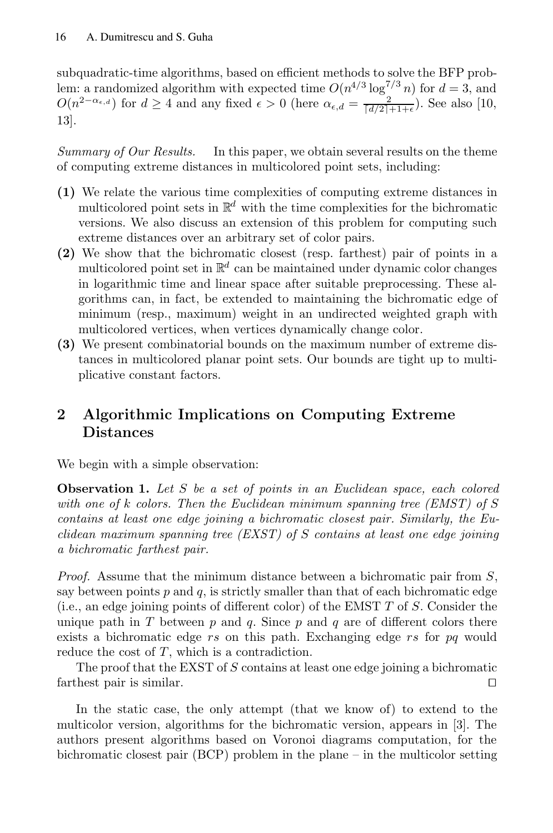subquadratic-time algorithms, based on efficient methods to solve the BFP problem: a randomized algorithm with expected time  $O(n^{4/3} \log^{7/3} n)$  for  $d = 3$ , and  $O(n^{2-\alpha_{\epsilon,d}})$  for  $d \geq 4$  and any fixed  $\epsilon > 0$  (here  $\alpha_{\epsilon,d} = \frac{2}{\lceil d/2 \rceil + 1 + \epsilon}$ ). See also [10, 13].

*Summary of Our Results.* In this paper, we obtain several results on the theme of computing extreme distances in multicolored point sets, including:

- **(1)** We relate the various time complexities of computing extreme distances in multicolored point sets in  $\mathbb{R}^d$  with the time complexities for the bichromatic versions. We also discuss an extension of this problem for computing such extreme distances over an arbitrary set of color pairs.
- **(2)** We show that the bichromatic closest (resp. farthest)pair of points in a multicolored point set in  $\mathbb{R}^d$  can be maintained under dynamic color changes in logarithmic time and linear space after suitable preprocessing. These algorithms can, in fact, be extended to maintaining the bichromatic edge of minimum (resp., maximum) weight in an undirected weighted graph with multicolored vertices, when vertices dynamically change color.
- **(3)** We present combinatorial bounds on the maximum number of extreme distances in multicolored planar point sets. Our bounds are tight up to multiplicative constant factors.

# **2 Algorithmic Implications on Computing Extreme Distances**

We begin with a simple observation:

**Observation 1.** *Let S be a set of points in an Euclidean space, each colored with one of k colors. Then the Euclidean minimum spanning tree (EMST) of S contains at least one edge joining a bichromatic closest pair. Similarly, the Euclidean maximum spanning tree (EXST) of S contains at least one edge joining a bichromatic farthest pair.*

*Proof.* Assume that the minimum distance between a bichromatic pair from *S*, say between points  $p$  and  $q$ , is strictly smaller than that of each bichromatic edge (i.e., an edge joining points of different color) of the EMST  $T$  of  $S$ . Consider the unique path in  $T$  between  $p$  and  $q$ . Since  $p$  and  $q$  are of different colors there exists a bichromatic edge *rs* on this path. Exchanging edge *rs* for *pq* would reduce the cost of *T*, which is a contradiction.

The proof that the EXST of *S* contains at least one edge joining a bichromatic farthest pair is similar. Π

In the static case, the only attempt (that we know of) to extend to the multicolor version, algorithms for the bichromatic version, appears in [3]. The authors present algorithms based on Voronoi diagrams computation, for the bichromatic closest pair  $(BCP)$  problem in the plane – in the multicolor setting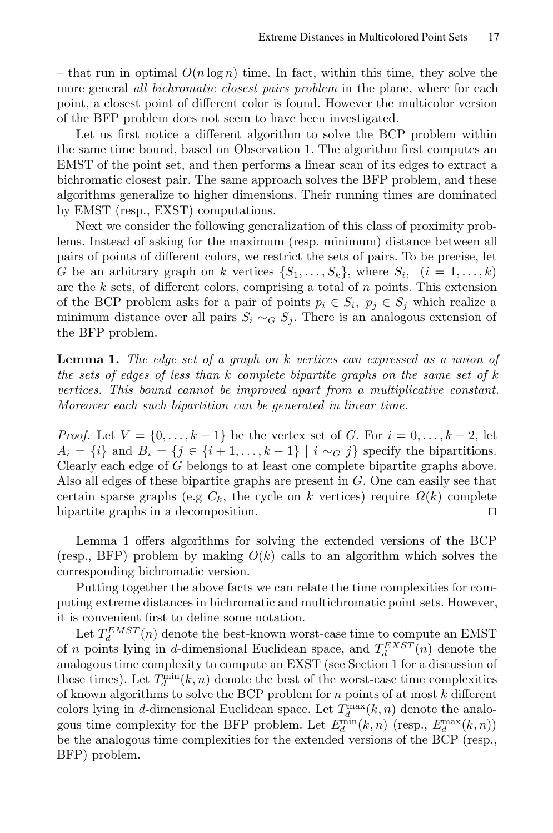– that run in optimal  $O(n \log n)$  time. In fact, within this time, they solve the more general *all bichromatic closest pairs problem* in the plane, where for each point, a closest point of different color is found. However the multicolor version of the BFP problem does not seem to have been investigated.

Let us first notice a different algorithm to solve the BCP problem within the same time bound, based on Observation 1. The algorithm first computes an EMST of the point set, and then performs a linear scan of its edges to extract a bichromatic closest pair. The same approach solves the BFP problem, and these algorithms generalize to higher dimensions. Their running times are dominated by EMST (resp., EXST) computations.

Next we consider the following generalization of this class of proximity problems. Instead of asking for the maximum (resp. minimum) distance between all pairs of points of different colors, we restrict the sets of pairs. To be precise, let *G* be an arbitrary graph on *k* vertices  $\{S_1, \ldots, S_k\}$ , where  $S_i$ ,  $(i = 1, \ldots, k)$ are the *k* sets, of different colors, comprising a total of *n* points. This extension of the BCP problem asks for a pair of points  $p_i \in S_i$ ,  $p_j \in S_j$  which realize a minimum distance over all pairs  $S_i \sim_G S_j$ . There is an analogous extension of the BFP problem.

**Lemma 1.** *The edge set of a graph on k vertices can expressed as a union of the sets of edges of less than k complete bipartite graphs on the same set of k vertices. This bound cannot be improved apart from a multiplicative constant. Moreover each such bipartition can be generated in linear time.*

*Proof.* Let  $V = \{0, \ldots, k-1\}$  be the vertex set of *G*. For  $i = 0, \ldots, k-2$ , let  $A_i = \{i\}$  and  $B_i = \{j \in \{i+1, ..., k-1\} \mid i \sim_G j\}$  specify the bipartitions. Clearly each edge of *G* belongs to at least one complete bipartite graphs above. Also all edges of these bipartite graphs are present in *G*. One can easily see that certain sparse graphs (e.g  $C_k$ , the cycle on k vertices) require  $\Omega(k)$  complete bipartite graphs in a decomposition. - $\Box$ 

Lemma 1 offers algorithms for solving the extended versions of the BCP (resp., BFP) problem by making  $O(k)$  calls to an algorithm which solves the corresponding bichromatic version.

Putting together the above facts we can relate the time complexities for computing extreme distances in bichromatic and multichromatic point sets. However, it is convenient first to define some notation.

Let  $T_d^{EMST}(n)$  denote the best-known worst-case time to compute an EMST of *n* points lying in *d*-dimensional Euclidean space, and  $T_d^{EXST}(n)$  denote the analogous time complexity to compute an EXST (see Section 1 for a discussion of these times). Let  $T_d^{\min}(k, n)$  denote the best of the worst-case time complexities of known algorithms to solve the BCP problem for *n* points of at most *k* different colors lying in *d*-dimensional Euclidean space. Let  $T_d^{\max}(k, n)$  denote the analogous time complexity for the BFP problem. Let  $E_d^{\min}(k, n)$  (resp.,  $E_d^{\max}(k, n)$ ) be the analogous time complexities for the extended versions of the BCP (resp., BFP) problem.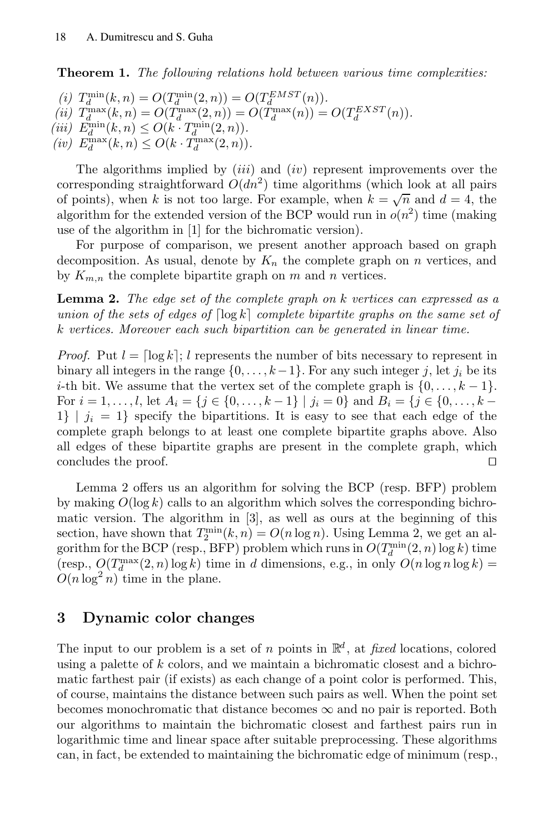**Theorem 1.** *The following relations hold between various time complexities:*

 $(i)$   $T_d^{\min}(k, n) = O(T_d^{\min}(2, n)) = O(T_d^{EMST}(n)).$  $(iii)$   $T_d^{\max}(k, n) = O(T_d^{\max}(2, n)) = O(T_d^{\max}(n)) = O(T_d^{EXST}(n)).$  $(iii)$   $E_d^{\min}(k, n) \leq O(k \cdot T_d^{\min}(2, n)).$  $(iv)$   $E_d^{\max}(k, n) \leq O(k \cdot T_d^{\max}(2, n)).$ 

The algorithms implied by  $(iii)$  and  $(iv)$  represent improvements over the corresponding straightforward  $O(dn^2)$  time algorithms (which look at all pairs of points), when *k* is not too large. For example, when  $k = \sqrt{n}$  and  $d = 4$ , the algorithm for the extended version of the BCP would run in  $o(n^2)$  time (making use of the algorithm in [1] for the bichromatic version).

For purpose of comparison, we present another approach based on graph decomposition. As usual, denote by  $K_n$  the complete graph on  $n$  vertices, and by  $K_{m,n}$  the complete bipartite graph on m and n vertices.

**Lemma 2.** *The edge set of the complete graph on k vertices can expressed as a union of the sets of edges of* log *<sup>k</sup> complete bipartite graphs on the same set of k vertices. Moreover each such bipartition can be generated in linear time.*

*Proof.* Put  $l = \lceil \log k \rceil$ ; *l* represents the number of bits necessary to represent in binary all integers in the range  $\{0, \ldots, k-1\}$ . For any such integer *j*, let *j<sub>i</sub>* be its *i*-th bit. We assume that the vertex set of the complete graph is  $\{0, \ldots, k-1\}$ . For  $i = 1, \ldots, l$ , let  $A_i = \{j \in \{0, \ldots, k-1\} \mid j_i = 0\}$  and  $B_i = \{j \in \{0, \ldots, k-1\} \mid j_i = 0\}$  $1\}$  |  $j_i = 1$ } specify the bipartitions. It is easy to see that each edge of the complete graph belongs to at least one complete bipartite graphs above. Also all edges of these bipartite graphs are present in the complete graph, which concludes the proof.  $\Box$ 

Lemma 2 offers us an algorithm for solving the BCP (resp. BFP) problem by making  $O(\log k)$  calls to an algorithm which solves the corresponding bichromatic version. The algorithm in [3], as well as ours at the beginning of this section, have shown that  $T_2^{\min}(k, n) = O(n \log n)$ . Using Lemma 2, we get an algorithm for the BCP (resp., BFP) problem which runs in  $O(T_d^{\min}(2, n) \log k)$  time  $(\text{resp., } O(T_d^{\max}(2, n) \log k) \text{ time in } d \text{ dimensions, e.g., in only } O(n \log n \log k) =$  $O(n \log^2 n)$  time in the plane.

### **3 Dynamic color changes**

The input to our problem is a set of *n* points in  $\mathbb{R}^d$ , at *fixed* locations, colored using a palette of *k* colors, and we maintain a bichromatic closest and a bichromatic farthest pair (if exists) as each change of a point color is performed. This, of course, maintains the distance between such pairs as well. When the point set becomes monochromatic that distance becomes  $\infty$  and no pair is reported. Both our algorithms to maintain the bichromatic closest and farthest pairs run in logarithmic time and linear space after suitable preprocessing. These algorithms can, in fact, be extended to maintaining the bichromatic edge of minimum (resp.,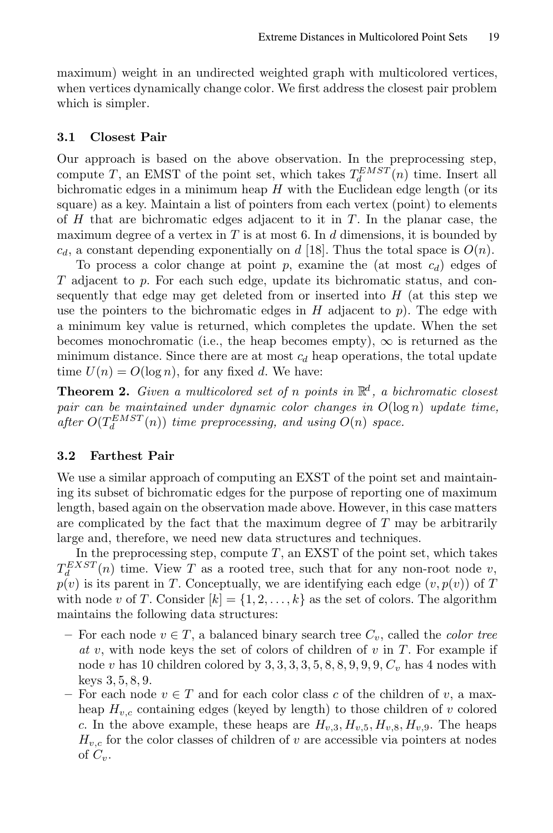maximum) weight in an undirected weighted graph with multicolored vertices, when vertices dynamically change color. We first address the closest pair problem which is simpler.

#### **3.1 Closest Pair**

Our approach is based on the above observation. In the preprocessing step, compute *T*, an EMST of the point set, which takes  $T_d^{EMST}(n)$  time. Insert all bichromatic edges in a minimum heap *H* with the Euclidean edge length (or its square) as a key. Maintain a list of pointers from each vertex (point) to elements of *H* that are bichromatic edges adjacent to it in *T*. In the planar case, the maximum degree of a vertex in *T* is at most 6. In *d* dimensions, it is bounded by  $c_d$ , a constant depending exponentially on *d* [18]. Thus the total space is  $O(n)$ .

To process a color change at point  $p$ , examine the (at most  $c_d$ ) edges of *T* adjacent to *p*. For each such edge, update its bichromatic status, and consequently that edge may get deleted from or inserted into *H* (at this step we use the pointers to the bichromatic edges in  $H$  adjacent to  $p$ ). The edge with a minimum key value is returned, which completes the update. When the set becomes monochromatic (i.e., the heap becomes empty),  $\infty$  is returned as the minimum distance. Since there are at most  $c_d$  heap operations, the total update time  $U(n) = O(\log n)$ , for any fixed d. We have:

**Theorem 2.** *Given a multicolored set of n points in*  $\mathbb{R}^d$ , *a bichromatic closest pair can be maintained under dynamic color changes in O*(log *n*) *update time,*  $a$ *fter*  $O(T_d^{EMST}(n))$  *time preprocessing, and using*  $O(n)$  *space.* 

#### **3.2 Farthest Pair**

We use a similar approach of computing an EXST of the point set and maintaining its subset of bichromatic edges for the purpose of reporting one of maximum length, based again on the observation made above. However, in this case matters are complicated by the fact that the maximum degree of *T* may be arbitrarily large and, therefore, we need new data structures and techniques.

In the preprocessing step, compute  $T$ , an EXST of the point set, which takes  $T_d^{EXST}(n)$  time. View *T* as a rooted tree, such that for any non-root node *v*,  $p(v)$  is its parent in *T*. Conceptually, we are identifying each edge  $(v, p(v))$  of *T* with node *v* of *T*. Consider  $[k] = \{1, 2, ..., k\}$  as the set of colors. The algorithm maintains the following data structures:

- For each node  $v \in T$ , a balanced binary search tree  $C_v$ , called the *color tree at v*, with node keys the set of colors of children of *v* in *T*. For example if node  $v$  has 10 children colored by 3, 3, 3, 3, 5, 8, 8, 9, 9, 9,  $C_v$  has 4 nodes with keys 3*,* 5*,* 8*,* 9.
- **–** For each node *<sup>v</sup>* <sup>∈</sup> *<sup>T</sup>* and for each color class *<sup>c</sup>* of the children of *<sup>v</sup>*, a maxheap  $H_{v,c}$  containing edges (keyed by length) to those children of *v* colored *c*. In the above example, these heaps are  $H_{v,3}, H_{v,5}, H_{v,8}, H_{v,9}$ . The heaps  $H_{v,c}$  for the color classes of children of *v* are accessible via pointers at nodes of  $C_v$ .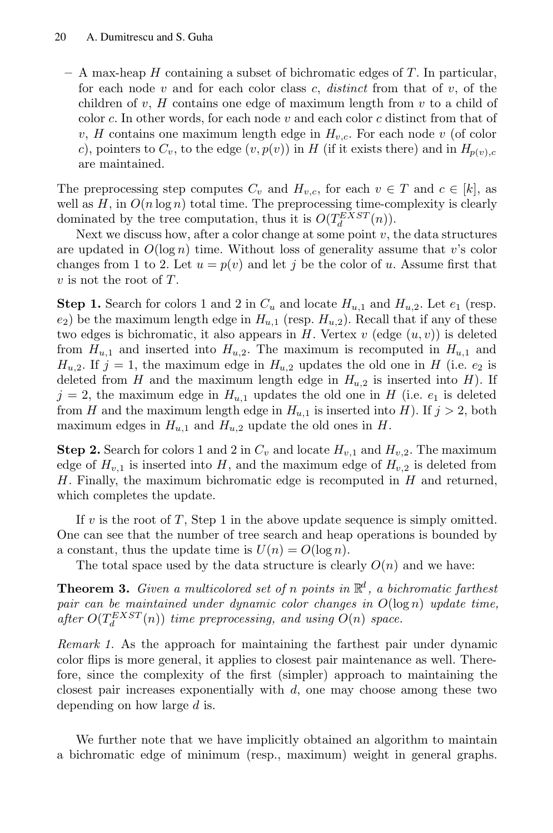**–** A max-heap *H* containing a subset of bichromatic edges of *T*. In particular, for each node *v* and for each color class *c*, *distinct* from that of *v*, of the children of *v*, *H* contains one edge of maximum length from *v* to a child of color *c*. In other words, for each node *v* and each color *c* distinct from that of *v*, *H* contains one maximum length edge in  $H_{v,c}$ . For each node *v* (of color *c*), pointers to  $C_v$ , to the edge  $(v, p(v))$  in *H* (if it exists there) and in  $H_{p(v),c}$ are maintained.

The preprocessing step computes  $C_v$  and  $H_{v,c}$ , for each  $v \in T$  and  $c \in [k]$ , as well as  $H$ , in  $O(n \log n)$  total time. The preprocessing time-complexity is clearly dominated by the tree computation, thus it is  $O(T_d^{EXST}(n))$ .

Next we discuss how, after a color change at some point *v*, the data structures are updated in  $O(\log n)$  time. Without loss of generality assume that *v*'s color changes from 1 to 2. Let  $u = p(v)$  and let *j* be the color of *u*. Assume first that *v* is not the root of *T*.

**Step 1.** Search for colors 1 and 2 in  $C_u$  and locate  $H_{u,1}$  and  $H_{u,2}$ . Let  $e_1$  (resp.  $(e_2)$  be the maximum length edge in  $H_{u,1}$  (resp.  $H_{u,2}$ ). Recall that if any of these two edges is bichromatic, it also appears in *H*. Vertex *v* (edge (*u, v*)) is deleted from  $H_{u,1}$  and inserted into  $H_{u,2}$ . The maximum is recomputed in  $H_{u,1}$  and  $H_{u,2}$ . If  $j = 1$ , the maximum edge in  $H_{u,2}$  updates the old one in *H* (i.e.  $e_2$  is deleted from *H* and the maximum length edge in  $H_{u,2}$  is inserted into *H*). If  $j = 2$ , the maximum edge in  $H_{u,1}$  updates the old one in *H* (i.e.  $e_1$  is deleted from *H* and the maximum length edge in  $H_{u,1}$  is inserted into *H*). If  $j > 2$ , both maximum edges in  $H_{u,1}$  and  $H_{u,2}$  update the old ones in  $H$ .

**Step 2.** Search for colors 1 and 2 in  $C_v$  and locate  $H_{v,1}$  and  $H_{v,2}$ . The maximum edge of  $H_{v,1}$  is inserted into *H*, and the maximum edge of  $H_{v,2}$  is deleted from *H*. Finally, the maximum bichromatic edge is recomputed in *H* and returned, which completes the update.

If *v* is the root of *T*, Step 1 in the above update sequence is simply omitted. One can see that the number of tree search and heap operations is bounded by a constant, thus the update time is  $U(n) = O(\log n)$ .

The total space used by the data structure is clearly  $O(n)$  and we have:

**Theorem 3.** *Given a multicolored set of n points in*  $\mathbb{R}^d$ , a bichromatic farthest *pair can be maintained under dynamic color changes in O*(log *n*) *update time,*  $\tilde{I}_{after}$   $O(T_d^{EXST}(n))$  *time preprocessing, and using*  $O(n)$  *space.* 

*Remark 1.* As the approach for maintaining the farthest pair under dynamic color flips is more general, it applies to closest pair maintenance as well. Therefore, since the complexity of the first (simpler)approach to maintaining the closest pair increases exponentially with *d*, one may choose among these two depending on how large *d* is.

We further note that we have implicitly obtained an algorithm to maintain a bichromatic edge of minimum (resp., maximum) weight in general graphs.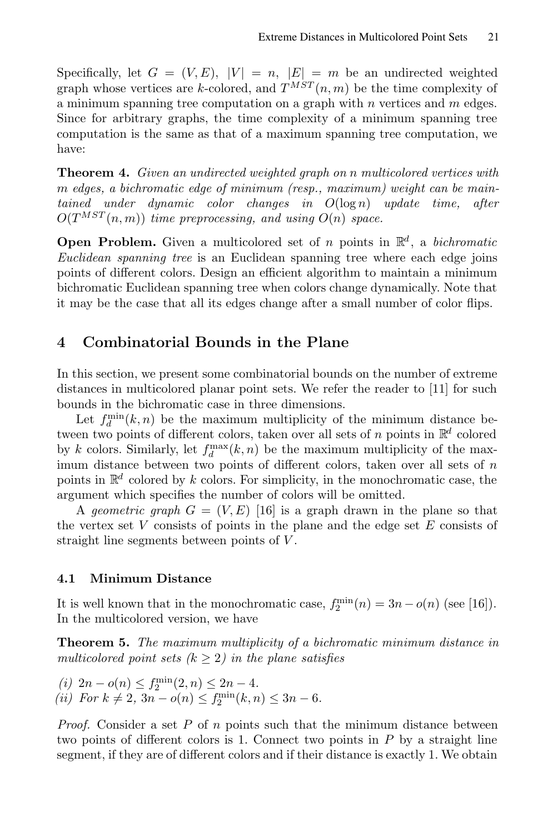Specifically, let  $G = (V, E)$ ,  $|V| = n$ ,  $|E| = m$  be an undirected weighted graph whose vertices are *k*-colored, and  $T^{MST}(n,m)$  be the time complexity of a minimum spanning tree computation on a graph with *n* vertices and *m* edges. Since for arbitrary graphs, the time complexity of a minimum spanning tree computation is the same as that of a maximum spanning tree computation, we have:

**Theorem 4.** *Given an undirected weighted graph on n multicolored vertices with m edges, a bichromatic edge of minimum (resp., maximum) weight can be maintained under dynamic color changes in O*(log *n*) *update time, after*  $O(T^{MST}(n,m))$  *time preprocessing, and using*  $O(n)$  *space.* 

**Open Problem.** Given a multicolored set of *n* points in  $\mathbb{R}^d$ , a *bichromatic Euclidean spanning tree* is an Euclidean spanning tree where each edge joins points of different colors. Design an efficient algorithm to maintain a minimum bichromatic Euclidean spanning tree when colors change dynamically. Note that it may be the case that all its edges change after a small number of color flips.

## **4 Combinatorial Bounds in the Plane**

In this section, we present some combinatorial bounds on the number of extreme distances in multicolored planar point sets. We refer the reader to [11] for such bounds in the bichromatic case in three dimensions.

Let  $f_d^{\min}(k, n)$  be the maximum multiplicity of the minimum distance between two points of different colors, taken over all sets of *n* points in  $\mathbb{R}^d$  colored by *k* colors. Similarly, let  $f_d^{\max}(k, n)$  be the maximum multiplicity of the maximum distance between two points of different colors, taken over all sets of *n* points in  $\mathbb{R}^d$  colored by *k* colors. For simplicity, in the monochromatic case, the argument which specifies the number of colors will be omitted.

A *geometric graph*  $G = (V, E)$  [16] is a graph drawn in the plane so that the vertex set *V* consists of points in the plane and the edge set *E* consists of straight line segments between points of *V* .

### **4.1 Minimum Distance**

It is well known that in the monochromatic case,  $f_2^{\min}(n) = 3n - o(n)$  (see [16]). In the multicolored version, we have

**Theorem 5.** *The maximum multiplicity of a bichromatic minimum distance in multicolored point sets*  $(k \geq 2)$  *in the plane satisfies* 

 $(i)$  2*n* − *o*(*n*) ≤  $f_2^{\min}(2, n) \le 2n - 4$ .  $(iii)$  *For*  $k \neq 2$ ,  $3n - o(n) \leq f_2^{\min}(k, n) \leq 3n - 6$ *.* 

*Proof.* Consider a set *P* of *n* points such that the minimum distance between two points of different colors is 1. Connect two points in *P* by a straight line segment, if they are of different colors and if their distance is exactly 1. We obtain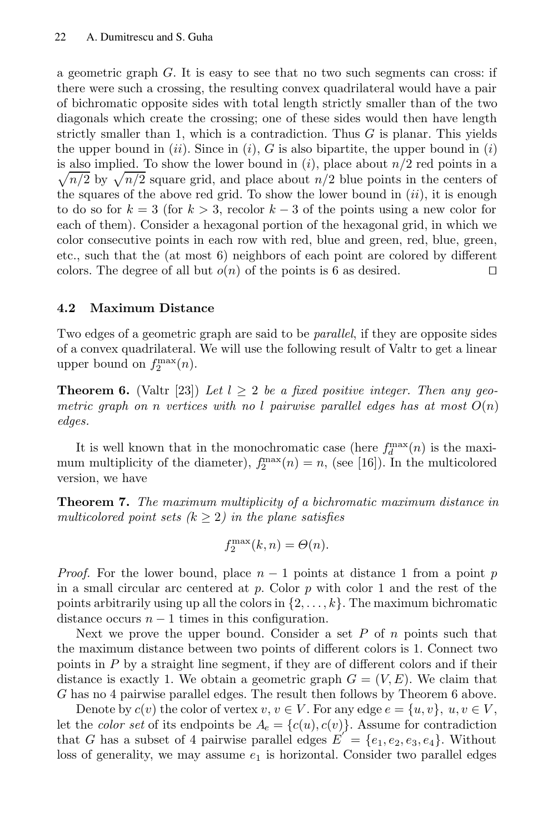a geometric graph *G*. It is easy to see that no two such segments can cross: if there were such a crossing, the resulting convex quadrilateral would have a pair of bichromatic opposite sides with total length strictly smaller than of the two diagonals which create the crossing; one of these sides would then have length strictly smaller than 1, which is a contradiction. Thus *G* is planar. This yields the upper bound in  $(ii)$ . Since in  $(i)$ ,  $G$  is also bipartite, the upper bound in  $(i)$  $\sqrt{n/2}$  by  $\sqrt{n/2}$  square grid, and place about  $n/2$  blue points in the centers of is also implied. To show the lower bound in  $(i)$ , place about  $n/2$  red points in a the squares of the above red grid. To show the lower bound in (*ii*), it is enough to do so for  $k = 3$  (for  $k > 3$ , recolor  $k - 3$  of the points using a new color for each of them). Consider a hexagonal portion of the hexagonal grid, in which we color consecutive points in each row with red, blue and green, red, blue, green, etc., such that the (at most  $6$ ) neighbors of each point are colored by different colors. The degree of all but  $o(n)$  of the points is 6 as desired.  $\Box$ 

### **4.2 Maximum Distance**

Two edges of a geometric graph are said to be *parallel*, if they are opposite sides of a convex quadrilateral. We will use the following result of Valtr to get a linear upper bound on  $f_2^{\max}(n)$ .

**Theorem 6.** (Valtr [23]) Let  $l \geq 2$  be a fixed positive integer. Then any geo*metric graph on n vertices with no l pairwise parallel edges has at most*  $O(n)$ *edges.*

It is well known that in the monochromatic case (here  $f_d^{\max}(n)$  is the maximum multiplicity of the diameter),  $f_2^{\max}(n) = n$ , (see [16]). In the multicolored version, we have

**Theorem 7.** *The maximum multiplicity of a bichromatic maximum distance in multicolored point sets*  $(k \geq 2)$  *in the plane satisfies* 

$$
f_2^{\max}(k,n) = \Theta(n).
$$

*Proof.* For the lower bound, place  $n-1$  points at distance 1 from a point p in a small circular arc centered at *p*. Color *p* with color 1 and the rest of the points arbitrarily using up all the colors in {2*,...,k*}. The maximum bichromatic distance occurs  $n-1$  times in this configuration.

Next we prove the upper bound. Consider a set *P* of *n* points such that the maximum distance between two points of different colors is 1. Connect two points in *P* by a straight line segment, if they are of different colors and if their distance is exactly 1. We obtain a geometric graph  $G = (V, E)$ . We claim that *G* has no 4 pairwise parallel edges. The result then follows by Theorem 6 above.

Denote by  $c(v)$  the color of vertex  $v, v \in V$ . For any edge  $e = \{u, v\}, u, v \in V$ , let the *color set* of its endpoints be  $A_e = \{c(u), c(v)\}\)$ . Assume for contradiction that *G* has a subset of 4 pairwise parallel edges  $E' = \{e_1, e_2, e_3, e_4\}$ . Without loss of generality, we may assume  $e_1$  is horizontal. Consider two parallel edges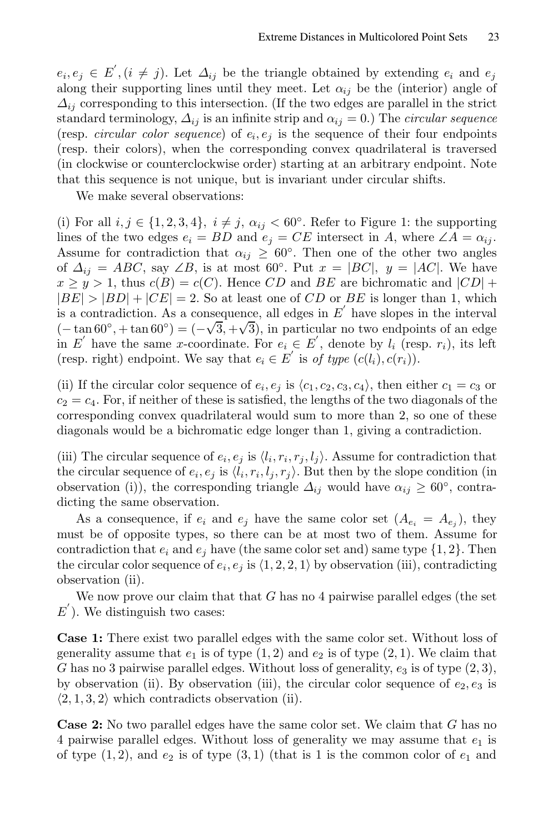$e_i, e_j \in E'$ ,  $(i \neq j)$ . Let  $\Delta_{ij}$  be the triangle obtained by extending  $e_i$  and  $e_j$ along their supporting lines until they meet. Let  $\alpha_{ij}$  be the (interior) angle of  $\Delta_{ij}$  corresponding to this intersection. (If the two edges are parallel in the strict standard terminology,  $\Delta_{ij}$  is an infinite strip and  $\alpha_{ij} = 0$ .) The *circular sequence* (resp. *circular color sequence*) of  $e_i, e_j$  is the sequence of their four endpoints (resp. their colors), when the corresponding convex quadrilateral is traversed (in clockwise or counterclockwise order) starting at an arbitrary endpoint. Note that this sequence is not unique, but is invariant under circular shifts.

We make several observations:

(i) For all  $i, j \in \{1, 2, 3, 4\}$ ,  $i \neq j$ ,  $\alpha_{ij} < 60^{\circ}$ . Refer to Figure 1: the supporting lines of the two edges  $e_i = BD$  and  $e_j = CE$  intersect in *A*, where  $\angle A = \alpha_{ij}$ . Assume for contradiction that  $\alpha_{ij} \geq 60^{\circ}$ . Then one of the other two angles of  $\Delta_{ij}$  = *ABC*, say ∠*B*, is at most 60°. Put  $x = |BC|$ ,  $y = |AC|$ . We have  $x \geq y > 1$ , thus  $c(B) = c(C)$ . Hence *CD* and *BE* are bichromatic and  $|CD|$  +  $|BE| > |BD| + |CE| = 2$ . So at least one of *CD* or *BE* is longer than 1, which is a contradiction. As a consequence, all edges in  $E'$  have slopes in the interval  $(-\tan 60^\circ, +\tan 60^\circ) = (-\sqrt{3}, +\sqrt{3})$ , in particular no two endpoints of an edge in *E*<sup> $\prime$ </sup> have the same *x*-coordinate. For  $e_i \in E$ <sup> $\prime$ </sup>, denote by  $l_i$  (resp. *r<sub>i</sub>*), its left (resp. right) endpoint. We say that  $e_i \in E'$  is *of type*  $(c(l_i), c(r_i))$ .

(ii) If the circular color sequence of  $e_i, e_j$  is  $\langle c_1, c_2, c_3, c_4 \rangle$ , then either  $c_1 = c_3$  or  $c_2 = c_4$ . For, if neither of these is satisfied, the lengths of the two diagonals of the corresponding convex quadrilateral would sum to more than 2, so one of these diagonals would be a bichromatic edge longer than 1, giving a contradiction.

(iii) The circular sequence of  $e_i, e_j$  is  $\langle l_i, r_i, r_j, l_j \rangle$ . Assume for contradiction that the circular sequence of  $e_i, e_j$  is  $\langle l_i, r_i, l_j, r_j \rangle$ . But then by the slope condition (in observation (i)), the corresponding triangle  $\Delta_{ij}$  would have  $\alpha_{ij} \geq 60^{\circ}$ , contradicting the same observation.

As a consequence, if  $e_i$  and  $e_j$  have the same color set  $(A_{e_i} = A_{e_j})$ , they must be of opposite types, so there can be at most two of them. Assume for contradiction that  $e_i$  and  $e_j$  have (the same color set and) same type  $\{1, 2\}$ . Then the circular color sequence of  $e_i, e_j$  is  $\langle 1, 2, 2, 1 \rangle$  by observation (iii), contradicting observation (ii).

We now prove our claim that that *G* has no 4 pairwise parallel edges (the set  $E'$ ). We distinguish two cases:

**Case 1:** There exist two parallel edges with the same color set. Without loss of generality assume that  $e_1$  is of type  $(1, 2)$  and  $e_2$  is of type  $(2, 1)$ . We claim that *G* has no 3 pairwise parallel edges. Without loss of generality,  $e_3$  is of type  $(2, 3)$ , by observation (ii). By observation (iii), the circular color sequence of  $e_2, e_3$  is  $\langle 2, 1, 3, 2 \rangle$  which contradicts observation (ii).

**Case 2:** No two parallel edges have the same color set. We claim that *G* has no 4 pairwise parallel edges. Without loss of generality we may assume that *e*<sup>1</sup> is of type  $(1, 2)$ , and  $e_2$  is of type  $(3, 1)$  (that is 1 is the common color of  $e_1$  and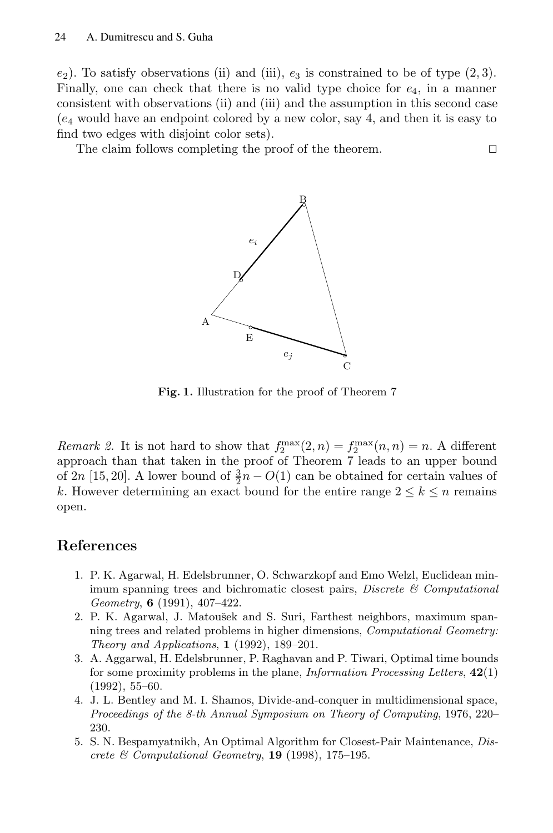*e*2). To satisfy observations (ii) and (iii), *e*<sup>3</sup> is constrained to be of type (2*,* 3). Finally, one can check that there is no valid type choice for *e*4, in a manner consistent with observations (ii) and (iii) and the assumption in this second case (*e*<sup>4</sup> would have an endpoint colored by a new color, say 4, and then it is easy to find two edges with disjoint color sets).

The claim follows completing the proof of the theorem.

A C D E  $e_i$ 

ei

**Fig. 1.** Illustration for the proof of Theorem 7

*Remark 2.* It is not hard to show that  $f_2^{\max}(2, n) = f_2^{\max}(n, n) = n$ . A different approach than that taken in the proof of Theorem 7 leads to an upper bound of 2*n* [15, 20]. A lower bound of  $\frac{3}{2}n - O(1)$  can be obtained for certain values of *k*. However determining an exact bound for the entire range  $2 \leq k \leq n$  remains open.

### **References**

- 1. P. K. Agarwal, H. Edelsbrunner, O. Schwarzkopf and Emo Welzl, Euclidean minimum spanning trees and bichromatic closest pairs, Discrete  $\mathcal B$  Computational Geometry, **6** (1991), 407–422.
- 2. P. K. Agarwal, J. Matoušek and S. Suri, Farthest neighbors, maximum spanning trees and related problems in higher dimensions, *Computational Geometry:* Theory and Applications, **1** (1992), 189–201.
- 3. A. Aggarwal, H. Edelsbrunner, P. Raghavan and P. Tiwari, Optimal time bounds for some proximity problems in the plane, Information Processing Letters, **42**(1) (1992), 55–60.
- 4. J. L. Bentley and M. I. Shamos, Divide-and-conquer in multidimensional space, Proceedings of the 8-th Annual Symposium on Theory of Computing, 1976, 220– 230.
- 5. S. N. Bespamyatnikh, An Optimal Algorithm for Closest-Pair Maintenance, Discrete & Computational Geometry, **19** (1998), 175–195.